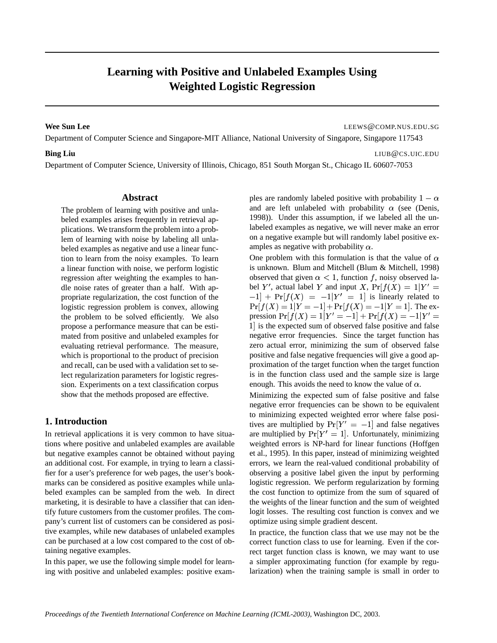# **Learning with Positive and Unlabeled Examples Using Weighted Logistic Regression**

**Wee Sun Lee** LEEWS@COMP.NUS.EDU.SG

Department of Computer Science and Singapore-MIT Alliance, National University of Singapore, Singapore 117543

#### **Bing Liu** LIUB@CS.UIC.EDU

Department of Computer Science, University of Illinois, Chicago, 851 South Morgan St., Chicago IL 60607-7053

#### **Abstract**

The problem of learning with positive and unlabeled examples arises frequently in retrieval applications. We transform the problem into a problem of learning with noise by labeling all unlabeled examples as negative and use a linear function to learn from the noisy examples. To learn a linear function with noise, we perform logistic regression after weighting the examples to handle noise rates of greater than a half. With appropriate regularization, the cost function of the logistic regression problem is convex, allowing the problem to be solved efficiently. We also propose a performance measure that can be estimated from positive and unlabeled examples for evaluating retrieval performance. The measure, which is proportional to the product of precision and recall, can be used with a validation set to select regularization parameters for logistic regression. Experiments on a text classification corpus show that the methods proposed are effective.

#### **1. Introduction**

In retrieval applications it is very common to have situations where positive and unlabeled examples are available but negative examples cannot be obtained without paying an additional cost. For example, in trying to learn a classifier for a user's preference for web pages, the user's bookmarks can be considered as positive examples while unlabeled examples can be sampled from the web. In direct marketing, it is desirable to have a classifier that can identify future customers from the customer profiles. The company's current list of customers can be considered as positive examples, while new databases of unlabeled examples can be purchased at a low cost compared to the cost of obtaining negative examples.

In this paper, we use the following simple model for learning with positive and unlabeled examples: positive exam-

ples are randomly labeled positive with probability  $1 - \alpha$ and are left unlabeled with probability  $\alpha$  (see (Denis, 1998)). Under this assumption, if we labeled all the unlabeled examples as negative, we will never make an error on a negative example but will randomly label positive examples as negative with probability  $\alpha$ .

One problem with this formulation is that the value of  $\alpha$ is unknown. Blum and Mitchell (Blum & Mitchell, 1998) observed that given  $\alpha$  < 1, function f, noisy observed label Y', actual label Y and input X,  $Pr[f(X)] = 1|Y'| =$  $[-1] + Pr[f(X)] = -1|Y'| = 1$  is linearly related to  $Pr[f(X) = 1|Y = -1] + Pr[f(X) = -1|Y = 1].$  The expression  $Pr[f(X) = 1|Y' = -1] + Pr[f(X) = -1|Y' =$ 1 is the expected sum of observed false positive and false negative error frequencies. Since the target function has zero actual error, minimizing the sum of observed false positive and false negative frequencies will give a good approximation of the target function when the target function is in the function class used and the sample size is large enough. This avoids the need to know the value of  $\alpha$ .

Minimizing the expected sum of false positive and false negative error frequencies can be shown to be equivalent to minimizing expected weighted error where false positives are multiplied by  $Pr[Y' = -1]$  and false negatives are multiplied by  $Pr[Y' = 1]$ . Unfortunately, minimizing weighted errors is NP-hard for linear functions (Hoffgen et al., 1995). In this paper, instead of minimizing weighted errors, we learn the real-valued conditional probability of observing a positive label given the input by performing logistic regression. We perform regularization by forming the cost function to optimize from the sum of squared of the weights of the linear function and the sum of weighted logit losses. The resulting cost function is convex and we optimize using simple gradient descent.

In practice, the function class that we use may not be the correct function class to use for learning. Even if the correct target function class is known, we may want to use a simpler approximating function (for example by regularization) when the training sample is small in order to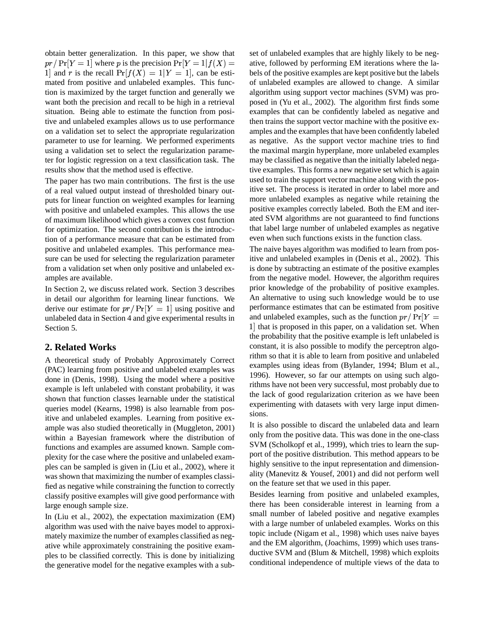obtain better generalization. In this paper, we show that  $pr/\Pr[Y = 1]$  where p is the precision  $\Pr[Y = 1 | f(X) = 1]$ 1 and r is the recall  $Pr[f(X) = 1 | Y = 1]$ , can be estimated from positive and unlabeled examples. This function is maximized by the target function and generally we want both the precision and recall to be high in a retrieval situation. Being able to estimate the function from positive and unlabeled examples allows us to use performance on a validation set to select the appropriate regularization parameter to use for learning. We performed experiments using a validation set to select the regularization parameter for logistic regression on a text classification task. The results show that the method used is effective.

The paper has two main contributions. The first is the use of a real valued output instead of thresholded binary outputs for linear function on weighted examples for learning with positive and unlabeled examples. This allows the use of maximum likelihood which gives a convex cost function for optimization. The second contribution is the introduction of a performance measure that can be estimated from positive and unlabeled examples. This performance measure can be used for selecting the regularization parameter from a validation set when only positive and unlabeled examples are available.

In Section 2, we discuss related work. Section 3 describes in detail our algorithm for learning linear functions. We derive our estimate for  $pr/Pr[Y = 1]$  using positive and unlabeled data in Section 4 and give experimental results in Section 5.

#### **2. Related Works**

A theoretical study of Probably Approximately Correct (PAC) learning from positive and unlabeled examples was done in (Denis, 1998). Using the model where a positive example is left unlabeled with constant probability, it was shown that function classes learnable under the statistical queries model (Kearns, 1998) is also learnable from positive and unlabeled examples. Learning from positive example was also studied theoretically in (Muggleton, 2001) within a Bayesian framework where the distribution of functions and examples are assumed known. Sample complexity for the case where the positive and unlabeled examples can be sampled is given in (Liu et al., 2002), where it was shown that maximizing the number of examples classified as negative while constraining the function to correctly classify positive examples will give good performance with large enough sample size.

In (Liu et al., 2002), the expectation maximization (EM) algorithm was used with the naive bayes model to approximately maximize the number of examples classified as negative while approximately constraining the positive examples to be classified correctly. This is done by initializing the generative model for the negative examples with a sub-

 $f(X) =$  ative, followed by performing EM iterations where the laset of unlabeled examples that are highly likely to be negbels of the positive examples are kept positive but the labels of unlabeled examples are allowed to change. A similar algorithm using support vector machines (SVM) was proposed in (Yu et al., 2002). The algorithm first finds some examples that can be confidently labeled as negative and then trains the support vector machine with the positive examples and the examples that have been confidently labeled as negative. As the support vector machine tries to find the maximal margin hyperplane, more unlabeled examples may be classified as negative than the initially labeled negative examples. This forms a new negative set which is again used to train the support vector machine along with the positive set. The process is iterated in order to label more and more unlabeled examples as negative while retaining the positive examples correctly labeled. Both the EM and iterated SVM algorithms are not guaranteed to find functions that label large number of unlabeled examples as negative even when such functions exists in the function class.

> The naive bayes algorithm was modified to learn from positive and unlabeled examples in (Denis et al., 2002). This is done by subtracting an estimate of the positive examples from the negative model. However, the algorithm requires prior knowledge of the probability of positive examples. An alternative to using such knowledge would be to use performance estimates that can be estimated from positive and unlabeled examples, such as the function  $pr/Pr[Y =$ 1 that is proposed in this paper, on a validation set. When the probability that the positive example is left unlabeled is constant, it is also possible to modify the perceptron algorithm so that it is able to learn from positive and unlabeled examples using ideas from (Bylander, 1994; Blum et al., 1996). However, so far our attempts on using such algorithms have not been very successful, most probably due to the lack of good regularization criterion as we have been experimenting with datasets with very large input dimensions.

> It is also possible to discard the unlabeled data and learn only from the positive data. This was done in the one-class SVM (Scholkopf et al., 1999), which tries to learn the support of the positive distribution. This method appears to be highly sensitive to the input representation and dimensionality (Manevitz & Yousef, 2001) and did not perform well on the feature set that we used in this paper.

> Besides learning from positive and unlabeled examples, there has been considerable interest in learning from a small number of labeled positive and negative examples with a large number of unlabeled examples. Works on this topic include (Nigam et al., 1998) which uses naive bayes and the EM algorithm, (Joachims, 1999) which uses transductive SVM and (Blum & Mitchell, 1998) which exploits conditional independence of multiple views of the data to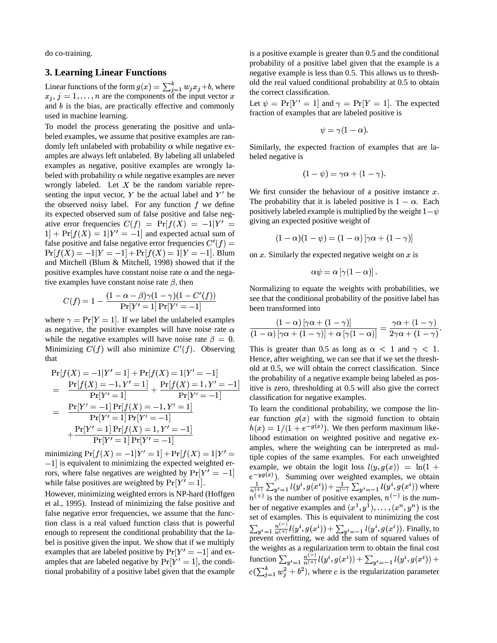do co-training.

#### **3. Learning Linear Functions**

Linear functions of the form  $g(x) = \sum_{i=1}^{\kappa} w_i x_i + b$ , where  $x_i, j = 1, \ldots, n$  are the components of the input vector x and  $b$  is the bias, are practically effective and commonly used in machine learning.

To model the process generating the positive and unlabeled examples, we assume that positive examples are randomly left unlabeled with probability  $\alpha$  while negative examples are always left unlabeled. By labeling all unlabeled examples as negative, positive examples are wrongly labeled with probability  $\alpha$  while negative examples are never wrongly labeled. Let  $X$  be the random variable representing the input vector,  $Y$  be the actual label and  $Y'$  be the observed noisy label. For any function  $f$  we define its expected observed sum of false positive and false negative error frequencies  $C(f) = Pr[f(X)] = -1|Y'| =$  giving an e  $1] + Pr[f(X) = 1|Y' = -1]$  and expected actual sum of false positive and false negative error frequencies  $C'(f) =$  $Pr[f(X) = -1|Y = -1] + Pr[f(X) = 1|Y = -1]$ . Blum and Mitchell (Blum & Mitchell, 1998) showed that if the positive examples have constant noise rate  $\alpha$  and the negative examples have constant noise rate  $\beta$ , then

$$
C(f)=1-\frac{(1-\alpha-\beta)\gamma(1-\gamma)(1-C'(f))}{\Pr[Y'=1]\Pr[Y'=-1]}
$$

where  $\gamma = \Pr[Y = 1]$ . If we label the unlabeled examples as negative, the positive examples will have noise rate  $\alpha$ while the negative examples will have noise rate  $\beta = 0$ . Minimizing  $C(f)$  will also minimize  $C'(f)$ . Observing that

$$
\Pr[f(X) = -1|Y' = 1] + \Pr[f(X) = 1|Y' = -1] \qquad t
$$
\n
$$
= \frac{\Pr[f(X) = -1, Y' = 1]}{\Pr[Y' = 1]} + \frac{\Pr[f(X) = 1, Y' = -1]}{\Pr[Y' = -1]} \qquad t
$$
\n
$$
= \frac{\Pr[Y' = -1] \Pr[f(X) = -1, Y' = 1]}{\Pr[Y' = 1] \Pr[Y' = -1]} \qquad t
$$
\n
$$
+ \frac{\Pr[Y' = 1] \Pr[f(X) = 1, Y' = -1]}{\Pr[Y' = 1] \Pr[Y' = -1]} \qquad t
$$

minimizing  $Pr[f(X) = -1|Y' = 1] + Pr[f(X) = 1|Y' = \lim_{\text{fin}}$  $-1$  is equivalent to minimizing the expected weighted errors, where false negatives are weighted by  $Pr[Y' = -1]$ while false positives are weighted by  $Pr[Y' = 1]$ .

However, minimizing weighted errors is NP-hard (Hoffgen et al., 1995). Instead of minimizing the false positive and false negative error frequencies, we assume that the function class is a real valued function class that is powerful enough to represent the conditional probability that the label is positive given the input. We show that if we multiply examples that are labeled positive by  $Pr[Y' = -1]$  and examples that are labeled negative by  $Pr[Y' = 1]$ , the conditional probability of a positive label given that the example

is a positive example is greater than 0.5 and the conditional probability of a positive label given that the example is a negative example is less than 0.5. This allows us to threshold the real valued conditional probability at 0.5 to obtain the correct classification.

Let  $\psi = \Pr[Y' = 1]$  and  $\gamma = \Pr[Y = 1]$ . The expected fraction of examples that are labeled positive is

$$
\psi=\gamma(1-\alpha).
$$

Similarly, the expected fraction of examples that are labeled negative is

$$
(1-\psi)=\gamma\alpha+(1-\gamma).
$$

We first consider the behaviour of a positive instance  $x$ . The probability that it is labeled positive is  $1 - \alpha$ . Each positively labeled example is multiplied by the weight  $1-\psi$ giving an expected positive weight of

$$
(1-\alpha)(1-\psi)=(1-\alpha)\left[\gamma\alpha+(1-\gamma)\right]
$$

on  $x$ . Similarly the expected negative weight on  $x$  is

$$
\alpha\psi=\alpha\left[\gamma(1-\alpha)\right].
$$

Normalizing to equate the weights with probabilities, we see that the conditional probability of the positive label has been transformed into

$$
\frac{\left(1-\alpha\right)\left[\gamma\alpha+\left(1-\gamma\right)\right]}{\left(1-\alpha\right)\left[\gamma\alpha+\left(1-\gamma\right)\right]+\alpha\left[\gamma(1-\alpha)\right]}=\frac{\gamma\alpha+\left(1-\gamma\right)}{2\gamma\alpha+\left(1-\gamma\right)}.
$$

 $\frac{\overline{z} - \overline{z}}{\overline{z}}$  itive is zero, thresholding at 0.5 will also give the correct  $=-1$  classification for negative examples. This is greater than 0.5 as long as  $\alpha < 1$  and  $\gamma < 1$ . Hence, after weighting, we can see that if we set the threshold at 0.5, we will obtain the correct classification. Since the probability of a negative example being labeled as pos-

> = tiple copies of the same examples. For each unweighted To learn the conditional probability, we compose the linear function  $g(x)$  with the sigmoid function to obtain  $h(x) = 1/(1 + e^{-g(x)})$ . We then perform maximum likelihood estimation on weighted positive and negative examples, where the weighting can be interpreted as mulexample, we obtain the logit loss  $l(y, g(x)) = \ln(1 +$  $e^{-yg(x)}$ ). Summing over weighted examples, we obtain  $\frac{1}{n^{(+)}}\sum_{u^i=1} l(y^i, g(x^i)) + \frac{1}{n^{(-)}}\sum_{u^i=-1} l(y^i, g(x^i))$  where  $n^{(+)}$  is the number of positive examples,  $n^{(-)}$  is the number of negative examples and  $(x^1, y^1), \ldots$ ,  $(x^1, y^1), \ldots, (x)$   $(x, \ldots, (x^n, y^n))$  is the set of examples. This is equivalent to minimizing the cost  $\sum_{u^i=1} \frac{n^{(-i)}}{n^{(+i)}} l(y^i, g(x^i)) + \sum_{u^i=-1} l(y^i, g(x^i))$ . Finally, to prevent overfitting, we add the sum of squared values of the weights as a regularization term to obtain the final cost function  $\sum_{u,i=1}^n \frac{n^{(-)}(y^i, g(x^i))}{n^{(+)}(y^i, g(x^i))} + \sum_{u,i=-1}^n l(y^i, g(x^i))$  $c(\sum_{i=1}^k w_i^2 + b^2)$ , where c is the regularization parameter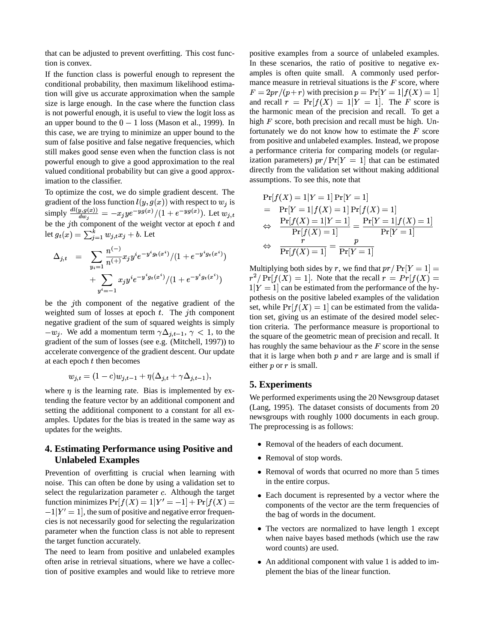that can be adjusted to prevent overfitting. This cost function is convex.

If the function class is powerful enough to represent the conditional probability, then maximum likelihood estimation will give us accurate approximation when the sample size is large enough. In the case where the function class is not powerful enough, it is useful to view the logit loss as an upper bound to the  $0 - 1$  loss (Mason et al., 1999). In this case, we are trying to minimize an upper bound to the sum of false positive and false negative frequencies, which still makes good sense even when the function class is not powerful enough to give a good approximation to the real valued conditional probability but can give a good approximation to the classifier.

To optimize the cost, we do simple gradient descent. The gradient of the loss function  $l(y, g(x))$  with respect to  $w_i$  is simply  $\frac{d l(y,g(x))}{d w_j} = -x_j y e^{-y g(x)} / (1 + e^{-y g(x)})$ . Let  $w_{j,t}$ <br>be the *j*th component of the weight vector at epoch *t* and let  $g_t(x) = \sum_{i=1}^k w_{i,t} x_i + b$ . Let

$$
\Delta_{j,t} = \sum_{y_i=1}^{\infty} \frac{n^{(-)}}{n^{(+)}} x_j y^i e^{-y^i g_t(x^i)}/(1 + e^{-y^i g_t(x^i)}) \n+ \sum_{y^i=-1}^{\infty} x_j y^i e^{-y^i g_t(x^i)}/(1 + e^{-y^i g_t(x^i)})
$$

be the  $j$ th component of the negative gradient of the weighted sum of losses at epoch  $t$ . The jth component negative gradient of the sum of squared weights is simply  $-w_i$ . We add a momentum term  $\gamma \Delta_{i,t-1}$ ,  $\gamma < 1$ , to the gradient of the sum of losses (see e.g. (Mitchell, 1997)) to accelerate convergence of the gradient descent. Our update at each epoch  $t$  then becomes

$$
w_{j,t}=(1-c)w_{j,t-1}+\eta(\Delta_{j,t}+\gamma\Delta_{j,t-1}),
$$

where  $\eta$  is the learning rate. Bias is implemented by extending the feature vector by an additional component and setting the additional component to a constant for all examples. Updates for the bias is treated in the same way as updates for the weights.

## **4. Estimating Performance using Positive and Unlabeled Examples**

Prevention of overfitting is crucial when learning with noise. This can often be done by using a validation set to select the regularization parameter  $c$ . Although the target function minimizes  $Pr[f(X) = 1 | Y' = -1] + Pr[f(X) =$  $-1|Y' = 1|$ , the sum of positive and negative error frequencies is not necessarily good for selecting the regularization parameter when the function class is not able to represent the target function accurately.

The need to learn from positive and unlabeled examples often arise in retrieval situations, where we have a collection of positive examples and would like to retrieve more positive examples from a source of unlabeled examples. In these scenarios, the ratio of positive to negative examples is often quite small. A commonly used performance measure in retrieval situations is the  $F$  score, where  $F = 2pr/(p+r)$  with precision  $p = Pr[Y = 1 | f(X) = 1]$ and recall  $r = Pr[f(X) = 1 | Y = 1]$ . The F score is the harmonic mean of the precision and recall. To get a high  $F$  score, both precision and recall must be high. Unfortunately we do not know how to estimate the  $F$  score from positive and unlabeled examples. Instead, we propose a performance criteria for comparing models (or regularization parameters)  $pr/Pr[Y = 1]$  that can be estimated directly from the validation set without making additional assumptions. To see this, note that

$$
\Pr[f(X) = 1|Y = 1] \Pr[Y = 1] \n= \Pr[Y = 1|f(X) = 1] \Pr[f(X) = 1] \n\Leftrightarrow \frac{\Pr[f(X) = 1|Y = 1]}{\Pr[f(X) = 1]} = \frac{\Pr[Y = 1|f(X) = 1]}{\Pr[Y = 1]} \n\Leftrightarrow \frac{r}{\Pr[f(X) = 1]} = \frac{p}{\Pr[Y = 1]}
$$

Multiplying both sides by r, we find that  $pr/\Pr[Y=1] =$  $r^2/Pr[f(X) = 1]$ . Note that the recall  $r = Pr[f(X) = 1]$  $1|Y = 1|$  can be estimated from the performance of the hypothesis on the positive labeled examples of the validation set, while  $Pr[f(X) = 1]$  can be estimated from the validation set, giving us an estimate of the desired model selection criteria. The performance measure is proportional to the square of the geometric mean of precision and recall. It has roughly the same behaviour as the  $F$  score in the sense that it is large when both  $p$  and  $r$  are large and is small if either  $p$  or  $r$  is small.

#### **5. Experiments**

We performed experiments using the 20 Newsgroup dataset (Lang, 1995). The dataset consists of documents from 20 newsgroups with roughly 1000 documents in each group. The preprocessing is as follows:

- Removal of the headers of each document.
- Removal of stop words.
- Removal of words that ocurred no more than 5 times in the entire corpus.
- Each document is represented by a vector where the components of the vector are the term frequencies of the bag of words in the document.
- The vectors are normalized to have length 1 except when naive bayes based methods (which use the raw word counts) are used.
- An additional component with value 1 is added to implement the bias of the linear function.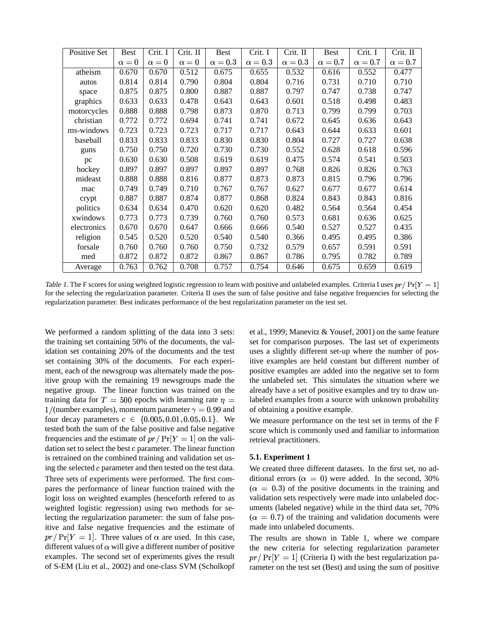| Positive Set | <b>Best</b> | Crit. I    | Crit. II   | Best         | Crit. I      | Crit. II     | <b>Best</b>  | Crit. I      | Crit. II     |
|--------------|-------------|------------|------------|--------------|--------------|--------------|--------------|--------------|--------------|
|              | $\alpha=0$  | $\alpha=0$ | $\alpha=0$ | $\alpha=0.3$ | $\alpha=0.3$ | $\alpha=0.3$ | $\alpha=0.7$ | $\alpha=0.7$ | $\alpha=0.7$ |
| atheism      | 0.670       | 0.670      | 0.512      | 0.675        | 0.655        | 0.532        | 0.616        | 0.552        | 0.477        |
| autos        | 0.814       | 0.814      | 0.790      | 0.804        | 0.804        | 0.716        | 0.731        | 0.710        | 0.710        |
| space        | 0.875       | 0.875      | 0.800      | 0.887        | 0.887        | 0.797        | 0.747        | 0.738        | 0.747        |
| graphics     | 0.633       | 0.633      | 0.478      | 0.643        | 0.643        | 0.601        | 0.518        | 0.498        | 0.483        |
| motorcycles  | 0.888       | 0.888      | 0.798      | 0.873        | 0.870        | 0.713        | 0.799        | 0.799        | 0.703        |
| christian    | 0.772       | 0.772      | 0.694      | 0.741        | 0.741        | 0.672        | 0.645        | 0.636        | 0.643        |
| ms-windows   | 0.723       | 0.723      | 0.723      | 0.717        | 0.717        | 0.643        | 0.644        | 0.633        | 0.601        |
| baseball     | 0.833       | 0.833      | 0.833      | 0.830        | 0.830        | 0.804        | 0.727        | 0.727        | 0.638        |
| guns         | 0.750       | 0.750      | 0.720      | 0.730        | 0.730        | 0.552        | 0.628        | 0.618        | 0.596        |
| pc           | 0.630       | 0.630      | 0.508      | 0.619        | 0.619        | 0.475        | 0.574        | 0.541        | 0.503        |
| hockey       | 0.897       | 0.897      | 0.897      | 0.897        | 0.897        | 0.768        | 0.826        | 0.826        | 0.763        |
| mideast      | 0.888       | 0.888      | 0.816      | 0.877        | 0.873        | 0.873        | 0.815        | 0.796        | 0.796        |
| mac          | 0.749       | 0.749      | 0.710      | 0.767        | 0.767        | 0.627        | 0.677        | 0.677        | 0.614        |
| crypt        | 0.887       | 0.887      | 0.874      | 0.877        | 0.868        | 0.824        | 0.843        | 0.843        | 0.816        |
| politics     | 0.634       | 0.634      | 0.470      | 0.620        | 0.620        | 0.482        | 0.564        | 0.564        | 0.454        |
| xwindows     | 0.773       | 0.773      | 0.739      | 0.760        | 0.760        | 0.573        | 0.681        | 0.636        | 0.625        |
| electronics  | 0.670       | 0.670      | 0.647      | 0.666        | 0.666        | 0.540        | 0.527        | 0.527        | 0.435        |
| religion     | 0.545       | 0.520      | 0.520      | 0.540        | 0.540        | 0.366        | 0.495        | 0.495        | 0.386        |
| forsale      | 0.760       | 0.760      | 0.760      | 0.750        | 0.732        | 0.579        | 0.657        | 0.591        | 0.591        |
| med          | 0.872       | 0.872      | 0.872      | 0.867        | 0.867        | 0.786        | 0.795        | 0.782        | 0.789        |
| Average      | 0.763       | 0.762      | 0.708      | 0.757        | 0.754        | 0.646        | 0.675        | 0.659        | 0.619        |

Table 1. The F scores for using weighted logistic regression to learn with positive and unlabeled examples. Criteria I uses  $pr/Pr[Y = 1]$ for the selecting the regularization parameter. Criteria II uses the sum of false positive and false negative frequencies for selecting the regularization parameter. Best indicates performance of the best regularization parameter on the test set.

We performed a random splitting of the data into 3 sets: the training set containing 50% of the documents, the validation set containing 20% of the documents and the test set containing 30% of the documents. For each experiment, each of the newsgroup was alternately made the positive group with the remaining 19 newsgroups made the negative group. The linear function was trained on the training data for  $T = 500$  epochs with learning rate  $\eta =$ 1/(number examples), momentum parameter  $\gamma = 0.99$  and or four decay parameters  $c \in \{0.005, 0.01, 0.05, 0.1\}$ . We tested both the sum of the false positive and false negative frequencies and the estimate of  $pr/Pr[Y = 1]$  on the validation set to select the best  $c$  parameter. The linear function is retrained on the combined training and validation set using the selected  $c$  parameter and then tested on the test data. Three sets of experiments were performed. The first compares the performance of linear function trained with the logit loss on weighted examples (henceforth refered to as weighted logistic regression) using two methods for selecting the regularization parameter: the sum of false positive and false negative frequencies and the estimate of  $pr/Pr[Y = 1]$ . Three values of  $\alpha$  are used. In this case, different values of  $\alpha$  will give a different number of positive examples. The second set of experiments gives the result of S-EM (Liu et al., 2002) and one-class SVM (Scholkopf

et al., 1999; Manevitz & Yousef, 2001) on the same feature set for comparison purposes. The last set of experiments uses a slightly different set-up where the number of positive examples are held constant but different number of positive examples are added into the negative set to form the unlabeled set. This simulates the situation where we already have a set of positive examples and try to draw unlabeled examples from a source with unknown probability of obtaining a positive example.

We measure performance on the test set in terms of the F score which is commonly used and familiar to information retrieval practitioners.

#### **5.1. Experiment 1**

We created three different datasets. In the first set, no additional errors ( $\alpha = 0$ ) were added. In the second, 30%  $(\alpha = 0.3)$  of the positive documents in the training and validation sets respectively were made into unlabeled documents (labeled negative) while in the third data set, 70%  $(\alpha = 0.7)$  of the training and validation documents were made into unlabeled documents.

The results are shown in Table 1, where we compare the new criteria for selecting regularization parameter  $pr/Pr[Y = 1]$  (Criteria I) with the best regularization parameter on the test set (Best) and using the sum of positive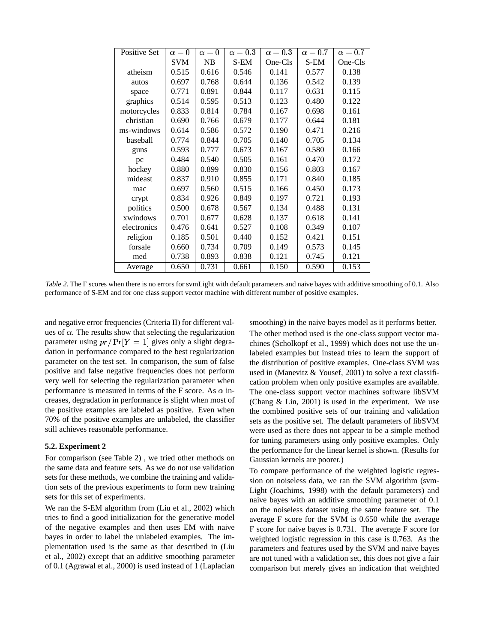| Positive Set | $\alpha = 0$ | $\alpha=0$ | $\alpha=0.3$ | $\alpha=0.3$ | $\alpha=0.7$ | $\alpha=0.7$ |
|--------------|--------------|------------|--------------|--------------|--------------|--------------|
|              | <b>SVM</b>   | NB         | S-EM         | One-Cls      | S-EM         | One-Cls      |
| atheism      | 0.515        | 0.616      | 0.546        | 0.141        | 0.577        | 0.138        |
| autos        | 0.697        | 0.768      | 0.644        | 0.136        | 0.542        | 0.139        |
| space        | 0.771        | 0.891      | 0.844        | 0.117        | 0.631        | 0.115        |
| graphics     | 0.514        | 0.595      | 0.513        | 0.123        | 0.480        | 0.122        |
| motorcycles  | 0.833        | 0.814      | 0.784        | 0.167        | 0.698        | 0.161        |
| christian    | 0.690        | 0.766      | 0.679        | 0.177        | 0.644        | 0.181        |
| ms-windows   | 0.614        | 0.586      | 0.572        | 0.190        | 0.471        | 0.216        |
| baseball     | 0.774        | 0.844      | 0.705        | 0.140        | 0.705        | 0.134        |
| guns         | 0.593        | 0.777      | 0.673        | 0.167        | 0.580        | 0.166        |
| pc           | 0.484        | 0.540      | 0.505        | 0.161        | 0.470        | 0.172        |
| hockey       | 0.880        | 0.899      | 0.830        | 0.156        | 0.803        | 0.167        |
| mideast      | 0.837        | 0.910      | 0.855        | 0.171        | 0.840        | 0.185        |
| mac          | 0.697        | 0.560      | 0.515        | 0.166        | 0.450        | 0.173        |
| crypt        | 0.834        | 0.926      | 0.849        | 0.197        | 0.721        | 0.193        |
| politics     | 0.500        | 0.678      | 0.567        | 0.134        | 0.488        | 0.131        |
| xwindows     | 0.701        | 0.677      | 0.628        | 0.137        | 0.618        | 0.141        |
| electronics  | 0.476        | 0.641      | 0.527        | 0.108        | 0.349        | 0.107        |
| religion     | 0.185        | 0.501      | 0.440        | 0.152        | 0.421        | 0.151        |
| forsale      | 0.660        | 0.734      | 0.709        | 0.149        | 0.573        | 0.145        |
| med          | 0.738        | 0.893      | 0.838        | 0.121        | 0.745        | 0.121        |
| Average      | 0.650        | 0.731      | 0.661        | 0.150        | 0.590        | 0.153        |

Table 2. The F scores when there is no errors for svmLight with default parameters and naive bayes with additive smoothing of 0.1. Also performance of S-EM and for one class support vector machine with different number of positive examples.

and negative error frequencies (Criteria II) for different values of  $\alpha$ . The results show that selecting the regularization parameter using  $pr/Pr[Y = 1]$  gives only a slight degradation in performance compared to the best regularization parameter on the test set. In comparison, the sum of false positive and false negative frequencies does not perform very well for selecting the regularization parameter when performance is measured in terms of the F score. As  $\alpha$  in-<br>The creases, degradation in performance is slight when most of the positive examples are labeled as positive. Even when 70% of the positive examples are unlabeled, the classifier still achieves reasonable performance.

#### **5.2. Experiment 2**

For comparison (see Table 2) , we tried other methods on the same data and feature sets. As we do not use validation sets for these methods, we combine the training and validation sets of the previous experiments to form new training sets for this set of experiments.

We ran the S-EM algorithm from (Liu et al., 2002) which tries to find a good initialization for the generative model of the negative examples and then uses EM with naive bayes in order to label the unlabeled examples. The implementation used is the same as that described in (Liu et al., 2002) except that an additive smoothing parameter of 0.1 (Agrawal et al., 2000) is used instead of 1 (Laplacian smoothing) in the naive bayes model as it performs better. The other method used is the one-class support vector machines (Scholkopf et al., 1999) which does not use the unlabeled examples but instead tries to learn the support of the distribution of positive examples. One-class SVM was used in (Manevitz & Yousef, 2001) to solve a text classification problem when only positive examples are available. The one-class support vector machines software libSVM (Chang & Lin, 2001) is used in the experiment. We use the combined positive sets of our training and validation sets as the positive set. The default parameters of libSVM were used as there does not appear to be a simple method for tuning parameters using only positive examples. Only the performance for the linear kernel is shown. (Results for Gaussian kernels are poorer.)

To compare performance of the weighted logistic regression on noiseless data, we ran the SVM algorithm (svm-Light (Joachims, 1998) with the default parameters) and naive bayes with an additive smoothing parameter of 0.1 on the noiseless dataset using the same feature set. The average F score for the SVM is 0.650 while the average F score for naive bayes is 0.731. The average F score for weighted logistic regression in this case is 0.763. As the parameters and features used by the SVM and naive bayes are not tuned with a validation set, this does not give a fair comparison but merely gives an indication that weighted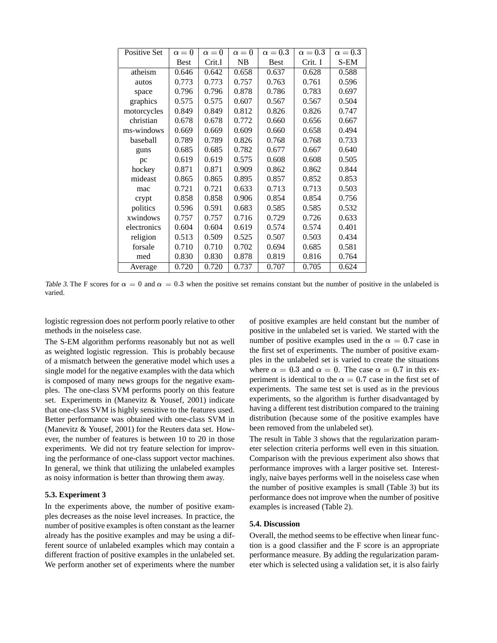| Positive Set | $\alpha = 0$ | $\alpha=0$ | $\alpha=0$ | $\alpha=0.3$ | $\alpha=0.3$ | $\alpha=0.3$ |
|--------------|--------------|------------|------------|--------------|--------------|--------------|
|              | Best         | Crit.I     | NB         | <b>Best</b>  | Crit. I      | S-EM         |
| atheism      | 0.646        | 0.642      | 0.658      | 0.637        | 0.628        | 0.588        |
| autos        | 0.773        | 0.773      | 0.757      | 0.763        | 0.761        | 0.596        |
| space        | 0.796        | 0.796      | 0.878      | 0.786        | 0.783        | 0.697        |
| graphics     | 0.575        | 0.575      | 0.607      | 0.567        | 0.567        | 0.504        |
| motorcycles  | 0.849        | 0.849      | 0.812      | 0.826        | 0.826        | 0.747        |
| christian    | 0.678        | 0.678      | 0.772      | 0.660        | 0.656        | 0.667        |
| ms-windows   | 0.669        | 0.669      | 0.609      | 0.660        | 0.658        | 0.494        |
| baseball     | 0.789        | 0.789      | 0.826      | 0.768        | 0.768        | 0.733        |
| guns         | 0.685        | 0.685      | 0.782      | 0.677        | 0.667        | 0.640        |
| pc           | 0.619        | 0.619      | 0.575      | 0.608        | 0.608        | 0.505        |
| hockey       | 0.871        | 0.871      | 0.909      | 0.862        | 0.862        | 0.844        |
| mideast      | 0.865        | 0.865      | 0.895      | 0.857        | 0.852        | 0.853        |
| mac          | 0.721        | 0.721      | 0.633      | 0.713        | 0.713        | 0.503        |
| crypt        | 0.858        | 0.858      | 0.906      | 0.854        | 0.854        | 0.756        |
| politics     | 0.596        | 0.591      | 0.683      | 0.585        | 0.585        | 0.532        |
| xwindows     | 0.757        | 0.757      | 0.716      | 0.729        | 0.726        | 0.633        |
| electronics  | 0.604        | 0.604      | 0.619      | 0.574        | 0.574        | 0.401        |
| religion     | 0.513        | 0.509      | 0.525      | 0.507        | 0.503        | 0.434        |
| forsale      | 0.710        | 0.710      | 0.702      | 0.694        | 0.685        | 0.581        |
| med          | 0.830        | 0.830      | 0.878      | 0.819        | 0.816        | 0.764        |
| Average      | 0.720        | 0.720      | 0.737      | 0.707        | 0.705        | 0.624        |

Table 3. The F scores for  $\alpha = 0$  and  $\alpha = 0.3$  when the positive set remains constant but the number of positive in the unlabeled is varied.

logistic regression does not perform poorly relative to other methods in the noiseless case.

The S-EM algorithm performs reasonably but not as well as weighted logistic regression. This is probably because of a mismatch between the generative model which uses a single model for the negative examples with the data which is composed of many news groups for the negative examples. The one-class SVM performs poorly on this feature set. Experiments in (Manevitz & Yousef, 2001) indicate that one-class SVM is highly sensitive to the features used. Better performance was obtained with one-class SVM in (Manevitz & Yousef, 2001) for the Reuters data set. However, the number of features is between 10 to 20 in those experiments. We did not try feature selection for improving the performance of one-class support vector machines. In general, we think that utilizing the unlabeled examples as noisy information is better than throwing them away.

#### **5.3. Experiment 3**

In the experiments above, the number of positive examples decreases as the noise level increases. In practice, the number of positive examples is often constant as the learner already has the positive examples and may be using a different source of unlabeled examples which may contain a different fraction of positive examples in the unlabeled set. We perform another set of experiments where the number of positive examples are held constant but the number of positive in the unlabeled set is varied. We started with the number of positive examples used in the  $\alpha = 0.7$  case in the first set of experiments. The number of positive examples in the unlabeled set is varied to create the situations where  $\alpha = 0.3$  and  $\alpha = 0$ . The case  $\alpha = 0.7$  in this experiment is identical to the  $\alpha = 0.7$  case in the first set of experiments. The same test set is used as in the previous experiments, so the algorithm is further disadvantaged by having a different test distribution compared to the training distribution (because some of the positive examples have been removed from the unlabeled set).

The result in Table 3 shows that the regularization parameter selection criteria performs well even in this situation. Comparison with the previous experiment also shows that performance improves with a larger positive set. Interestingly, naive bayes performs well in the noiseless case when the number of positive examples is small (Table 3) but its performance does not improve when the number of positive examples is increased (Table 2).

#### **5.4. Discussion**

Overall, the method seems to be effective when linear function is a good classifier and the F score is an appropriate performance measure. By adding the regularization parameter which is selected using a validation set, it is also fairly